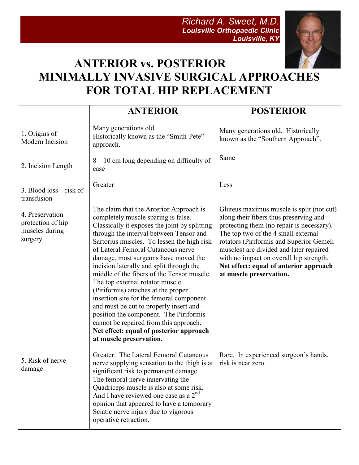

## ANTERIOR vs. POSTERIOR MINIMALLY INVASIVE SURGICAL APPROACHES FOR TOTAL HIP REPLACEMENT

|                                                                     | <b>ANTERIOR</b>                                                                                                                                                                                                                                                                                                                                                                                                                                                                                                                                                                                                                                                                                                            | <b>POSTERIOR</b>                                                                                                                                                                                                                                                                                                                                                               |
|---------------------------------------------------------------------|----------------------------------------------------------------------------------------------------------------------------------------------------------------------------------------------------------------------------------------------------------------------------------------------------------------------------------------------------------------------------------------------------------------------------------------------------------------------------------------------------------------------------------------------------------------------------------------------------------------------------------------------------------------------------------------------------------------------------|--------------------------------------------------------------------------------------------------------------------------------------------------------------------------------------------------------------------------------------------------------------------------------------------------------------------------------------------------------------------------------|
| 1. Origins of<br>Modern Incision                                    | Many generations old.<br>Historically known as the "Smith-Pete"<br>approach.                                                                                                                                                                                                                                                                                                                                                                                                                                                                                                                                                                                                                                               | Many generations old. Historically<br>known as the "Southern Approach".                                                                                                                                                                                                                                                                                                        |
| 2. Incision Length                                                  | $8 - 10$ cm long depending on difficulty of<br>case                                                                                                                                                                                                                                                                                                                                                                                                                                                                                                                                                                                                                                                                        | Same                                                                                                                                                                                                                                                                                                                                                                           |
| 3. Blood $loss - risk of$<br>transfusion                            | Greater                                                                                                                                                                                                                                                                                                                                                                                                                                                                                                                                                                                                                                                                                                                    | Less                                                                                                                                                                                                                                                                                                                                                                           |
| 4. Preservation -<br>protection of hip<br>muscles during<br>surgery | The claim that the Anterior Approach is<br>completely muscle sparing is false.<br>Classically it exposes the joint by splitting<br>through the interval between Tensor and<br>Sartorius muscles. To lessen the high risk<br>of Lateral Femoral Cutaneous nerve<br>damage, most surgeons have moved the<br>incision laterally and split through the<br>middle of the fibers of the Tensor muscle.<br>The top external rotator muscle<br>(Piriformis) attaches at the proper<br>insertion site for the femoral component<br>and must be cut to properly insert and<br>position the component. The Piriformis<br>cannot be repaired from this approach.<br>Net effect: equal of posterior approach<br>at muscle preservation. | Gluteus maximus muscle is split (not cut)<br>along their fibers thus preserving and<br>protecting them (no repair is necessary).<br>The top two of the 4 small external<br>rotators (Piriformis and Superior Gemeli<br>muscles) are divided and later repaired<br>with no impact on overall hip strength.<br>Net effect: equal of anterior approach<br>at muscle preservation. |
| 5. Risk of nerve<br>damage                                          | Greater. The Lateral Femoral Cutaneous<br>nerve supplying sensation to the thigh is at<br>significant risk to permanent damage.<br>The femoral nerve innervating the<br>Quadriceps muscle is also at some risk.<br>And I have reviewed one case as a $2nd$<br>opinion that appeared to have a temporary<br>Sciatic nerve injury due to vigorous<br>operative retraction.                                                                                                                                                                                                                                                                                                                                                   | Rare. In experienced surgeon's hands,<br>risk is near zero.                                                                                                                                                                                                                                                                                                                    |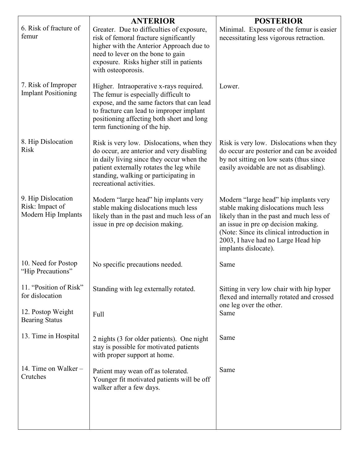|                                                              | <b>ANTERIOR</b>                                                                                                                                                                                                                                        | <b>POSTERIOR</b>                                                                                                                                                                                                                                                            |
|--------------------------------------------------------------|--------------------------------------------------------------------------------------------------------------------------------------------------------------------------------------------------------------------------------------------------------|-----------------------------------------------------------------------------------------------------------------------------------------------------------------------------------------------------------------------------------------------------------------------------|
| 6. Risk of fracture of<br>femur                              | Greater. Due to difficulties of exposure,<br>risk of femoral fracture significantly<br>higher with the Anterior Approach due to<br>need to lever on the bone to gain<br>exposure. Risks higher still in patients<br>with osteoporosis.                 | Minimal. Exposure of the femur is easier<br>necessitating less vigorous retraction.                                                                                                                                                                                         |
| 7. Risk of Improper<br><b>Implant Positioning</b>            | Higher. Intraoperative x-rays required.<br>The femur is especially difficult to<br>expose, and the same factors that can lead<br>to fracture can lead to improper implant<br>positioning affecting both short and long<br>term functioning of the hip. | Lower.                                                                                                                                                                                                                                                                      |
| 8. Hip Dislocation<br><b>Risk</b>                            | Risk is very low. Dislocations, when they<br>do occur, are anterior and very disabling<br>in daily living since they occur when the<br>patient externally rotates the leg while<br>standing, walking or participating in<br>recreational activities.   | Risk is very low. Dislocations when they<br>do occur are posterior and can be avoided<br>by not sitting on low seats (thus since<br>easily avoidable are not as disabling).                                                                                                 |
| 9. Hip Dislocation<br>Risk: Impact of<br>Modern Hip Implants | Modern "large head" hip implants very<br>stable making dislocations much less<br>likely than in the past and much less of an<br>issue in pre op decision making.                                                                                       | Modern "large head" hip implants very<br>stable making dislocations much less<br>likely than in the past and much less of<br>an issue in pre op decision making.<br>(Note: Since its clinical introduction in<br>2003, I have had no Large Head hip<br>implants dislocate). |
| 10. Need for Postop<br>"Hip Precautions"                     | No specific precautions needed.                                                                                                                                                                                                                        | Same                                                                                                                                                                                                                                                                        |
| 11. "Position of Risk"<br>for dislocation                    | Standing with leg externally rotated.                                                                                                                                                                                                                  | Sitting in very low chair with hip hyper<br>flexed and internally rotated and crossed<br>one leg over the other.                                                                                                                                                            |
| 12. Postop Weight<br><b>Bearing Status</b>                   | Full                                                                                                                                                                                                                                                   | Same                                                                                                                                                                                                                                                                        |
| 13. Time in Hospital                                         | 2 nights (3 for older patients). One night<br>stay is possible for motivated patients<br>with proper support at home.                                                                                                                                  | Same                                                                                                                                                                                                                                                                        |
| 14. Time on Walker -<br>Crutches                             | Patient may wean off as tolerated.<br>Younger fit motivated patients will be off<br>walker after a few days.                                                                                                                                           | Same                                                                                                                                                                                                                                                                        |
|                                                              |                                                                                                                                                                                                                                                        |                                                                                                                                                                                                                                                                             |